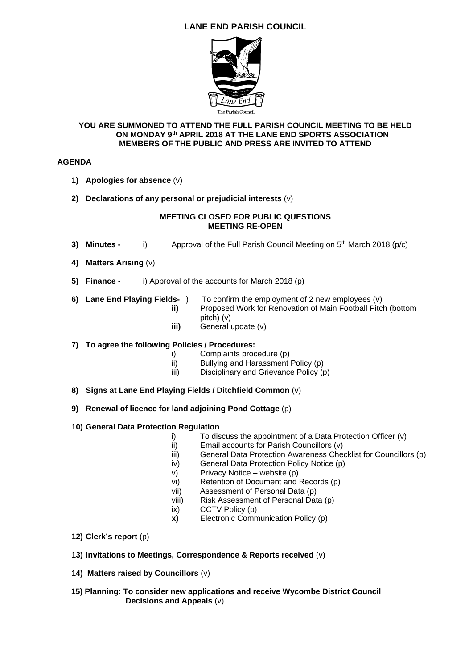# **LANE END PARISH COUNCIL**



#### **YOU ARE SUMMONED TO ATTEND THE FULL PARISH COUNCIL MEETING TO BE HELD ON MONDAY 9th APRIL 2018 AT THE LANE END SPORTS ASSOCIATION MEMBERS OF THE PUBLIC AND PRESS ARE INVITED TO ATTEND**

## **AGENDA**

- **1) Apologies for absence** (v)
- **2) Declarations of any personal or prejudicial interests** (v)

#### **MEETING CLOSED FOR PUBLIC QUESTIONS MEETING RE-OPEN**

- **3) Minutes -** i) Approval of the Full Parish Council Meeting on 5<sup>th</sup> March 2018 (p/c)
- **4) Matters Arising** (v)
- **5) Finance** i) Approval of the accounts for March 2018 (p)
- **6) Lane End Playing Fields-** i) To confirm the employment of 2 new employees (v) **ii)** Proposed Work for Renovation of Main Football Pitch (bottom pitch) (v)
	- **iii)** General update (v)

## **7) To agree the following Policies / Procedures:**

- i) Complaints procedure (p)
- ii) Bullying and Harassment Policy (p)
- iii) Disciplinary and Grievance Policy (p)
- **8) Signs at Lane End Playing Fields / Ditchfield Common** (v)
- **9) Renewal of licence for land adjoining Pond Cottage** (p)

## **10) General Data Protection Regulation**

- i) To discuss the appointment of a Data Protection Officer (v)
- ii) Email accounts for Parish Councillors (v)
- iii) General Data Protection Awareness Checklist for Councillors (p)
- iv) General Data Protection Policy Notice (p)
- v) Privacy Notice website (p)
- vi) Retention of Document and Records (p)
- vii) Assessment of Personal Data (p)
- viii) Risk Assessment of Personal Data (p)
- ix) CCTV Policy (p)
- **x)** Electronic Communication Policy (p)
- **12) Clerk's report** (p)
- **13) Invitations to Meetings, Correspondence & Reports received** (v)
- **14) Matters raised by Councillors** (v)
- **15) Planning: To consider new applications and receive Wycombe District Council Decisions and Appeals** (v)